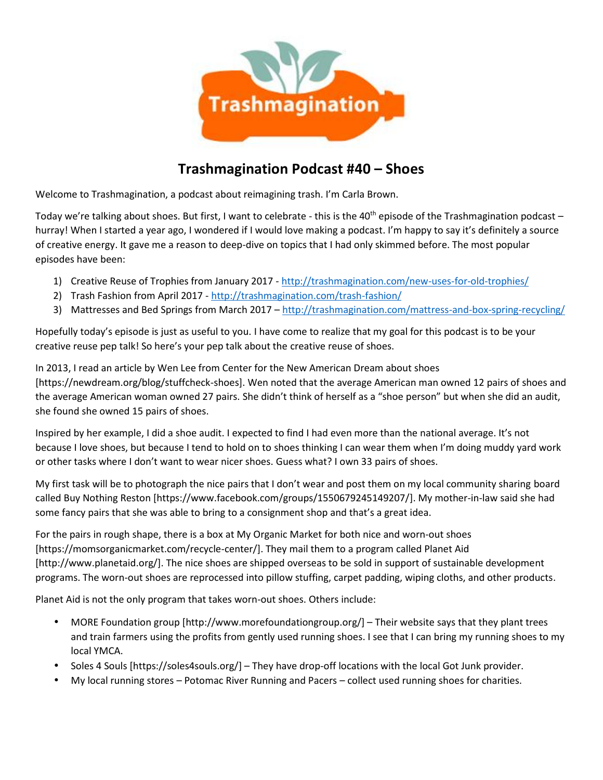

## **Trashmagination Podcast #40 – Shoes**

Welcome to Trashmagination, a podcast about reimagining trash. I'm Carla Brown.

Today we're talking about shoes. But first, I want to celebrate - this is the 40<sup>th</sup> episode of the Trashmagination podcast  $$ hurray! When I started a year ago, I wondered if I would love making a podcast. I'm happy to say it's definitely a source of creative energy. It gave me a reason to deep-dive on topics that I had only skimmed before. The most popular episodes have been:

- 1) Creative Reuse of Trophies from January 2017 http://trashmagination.com/new-uses-for-old-trophies/
- 2) Trash Fashion from April 2017 http://trashmagination.com/trash-fashion/
- 3) Mattresses and Bed Springs from March 2017 http://trashmagination.com/mattress-and-box-spring-recycling/

Hopefully today's episode is just as useful to you. I have come to realize that my goal for this podcast is to be your creative reuse pep talk! So here's your pep talk about the creative reuse of shoes.

In 2013, I read an article by Wen Lee from Center for the New American Dream about shoes [https://newdream.org/blog/stuffcheck-shoes]. Wen noted that the average American man owned 12 pairs of shoes and the average American woman owned 27 pairs. She didn't think of herself as a "shoe person" but when she did an audit, she found she owned 15 pairs of shoes.

Inspired by her example, I did a shoe audit. I expected to find I had even more than the national average. It's not because I love shoes, but because I tend to hold on to shoes thinking I can wear them when I'm doing muddy yard work or other tasks where I don't want to wear nicer shoes. Guess what? I own 33 pairs of shoes.

My first task will be to photograph the nice pairs that I don't wear and post them on my local community sharing board called Buy Nothing Reston [https://www.facebook.com/groups/1550679245149207/]. My mother-in-law said she had some fancy pairs that she was able to bring to a consignment shop and that's a great idea.

For the pairs in rough shape, there is a box at My Organic Market for both nice and worn-out shoes [https://momsorganicmarket.com/recycle-center/]. They mail them to a program called Planet Aid [http://www.planetaid.org/]. The nice shoes are shipped overseas to be sold in support of sustainable development programs. The worn-out shoes are reprocessed into pillow stuffing, carpet padding, wiping cloths, and other products.

Planet Aid is not the only program that takes worn-out shoes. Others include:

- MORE Foundation group [http://www.morefoundationgroup.org/] Their website says that they plant trees and train farmers using the profits from gently used running shoes. I see that I can bring my running shoes to my local YMCA.
- Soles 4 Souls [https://soles4souls.org/] They have drop-off locations with the local Got Junk provider.
- My local running stores Potomac River Running and Pacers collect used running shoes for charities.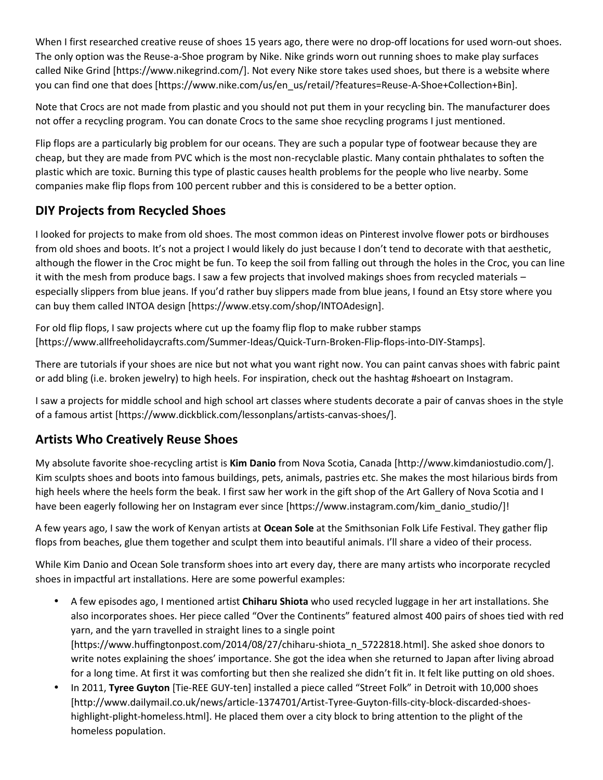When I first researched creative reuse of shoes 15 years ago, there were no drop-off locations for used worn-out shoes. The only option was the Reuse-a-Shoe program by Nike. Nike grinds worn out running shoes to make play surfaces called Nike Grind [https://www.nikegrind.com/]. Not every Nike store takes used shoes, but there is a website where you can find one that does [https://www.nike.com/us/en\_us/retail/?features=Reuse-A-Shoe+Collection+Bin].

Note that Crocs are not made from plastic and you should not put them in your recycling bin. The manufacturer does not offer a recycling program. You can donate Crocs to the same shoe recycling programs I just mentioned.

Flip flops are a particularly big problem for our oceans. They are such a popular type of footwear because they are cheap, but they are made from PVC which is the most non-recyclable plastic. Many contain phthalates to soften the plastic which are toxic. Burning this type of plastic causes health problems for the people who live nearby. Some companies make flip flops from 100 percent rubber and this is considered to be a better option.

## **DIY Projects from Recycled Shoes**

I looked for projects to make from old shoes. The most common ideas on Pinterest involve flower pots or birdhouses from old shoes and boots. It's not a project I would likely do just because I don't tend to decorate with that aesthetic, although the flower in the Croc might be fun. To keep the soil from falling out through the holes in the Croc, you can line it with the mesh from produce bags. I saw a few projects that involved makings shoes from recycled materials – especially slippers from blue jeans. If you'd rather buy slippers made from blue jeans, I found an Etsy store where you can buy them called INTOA design [https://www.etsy.com/shop/INTOAdesign].

For old flip flops, I saw projects where cut up the foamy flip flop to make rubber stamps [https://www.allfreeholidaycrafts.com/Summer-Ideas/Quick-Turn-Broken-Flip-flops-into-DIY-Stamps].

There are tutorials if your shoes are nice but not what you want right now. You can paint canvas shoes with fabric paint or add bling (i.e. broken jewelry) to high heels. For inspiration, check out the hashtag #shoeart on Instagram.

I saw a projects for middle school and high school art classes where students decorate a pair of canvas shoes in the style of a famous artist [https://www.dickblick.com/lessonplans/artists-canvas-shoes/].

## **Artists Who Creatively Reuse Shoes**

My absolute favorite shoe-recycling artist is **Kim Danio** from Nova Scotia, Canada [http://www.kimdaniostudio.com/]. Kim sculpts shoes and boots into famous buildings, pets, animals, pastries etc. She makes the most hilarious birds from high heels where the heels form the beak. I first saw her work in the gift shop of the Art Gallery of Nova Scotia and I have been eagerly following her on Instagram ever since [https://www.instagram.com/kim\_danio\_studio/]!

A few years ago, I saw the work of Kenyan artists at **Ocean Sole** at the Smithsonian Folk Life Festival. They gather flip flops from beaches, glue them together and sculpt them into beautiful animals. I'll share a video of their process.

While Kim Danio and Ocean Sole transform shoes into art every day, there are many artists who incorporate recycled shoes in impactful art installations. Here are some powerful examples:

- A few episodes ago, I mentioned artist **Chiharu Shiota** who used recycled luggage in her art installations. She also incorporates shoes. Her piece called "Over the Continents" featured almost 400 pairs of shoes tied with red yarn, and the yarn travelled in straight lines to a single point [https://www.huffingtonpost.com/2014/08/27/chiharu-shiota\_n\_5722818.html]. She asked shoe donors to write notes explaining the shoes' importance. She got the idea when she returned to Japan after living abroad for a long time. At first it was comforting but then she realized she didn't fit in. It felt like putting on old shoes.
- In 2011, **Tyree Guyton** [Tie-REE GUY-ten] installed a piece called "Street Folk" in Detroit with 10,000 shoes [http://www.dailymail.co.uk/news/article-1374701/Artist-Tyree-Guyton-fills-city-block-discarded-shoes highlight-plight-homeless.html]. He placed them over a city block to bring attention to the plight of the homeless population.